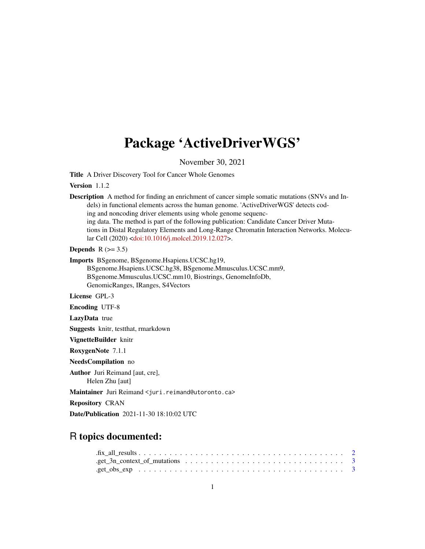# Package 'ActiveDriverWGS'

November 30, 2021

Title A Driver Discovery Tool for Cancer Whole Genomes

Version 1.1.2

Description A method for finding an enrichment of cancer simple somatic mutations (SNVs and Indels) in functional elements across the human genome. 'ActiveDriverWGS' detects coding and noncoding driver elements using whole genome sequencing data. The method is part of the following publication: Candidate Cancer Driver Mutations in Distal Regulatory Elements and Long-Range Chromatin Interaction Networks. Molecular Cell (2020) [<doi:10.1016/j.molcel.2019.12.027>](https://doi.org/10.1016/j.molcel.2019.12.027).

Depends  $R$  ( $>= 3.5$ )

Imports BSgenome, BSgenome.Hsapiens.UCSC.hg19, BSgenome.Hsapiens.UCSC.hg38, BSgenome.Mmusculus.UCSC.mm9, BSgenome.Mmusculus.UCSC.mm10, Biostrings, GenomeInfoDb, GenomicRanges, IRanges, S4Vectors

License GPL-3

Encoding UTF-8

LazyData true

Suggests knitr, testthat, rmarkdown

VignetteBuilder knitr

RoxygenNote 7.1.1

NeedsCompilation no

Author Juri Reimand [aut, cre], Helen Zhu [aut]

Maintainer Juri Reimand <juri.reimand@utoronto.ca>

Repository CRAN

Date/Publication 2021-11-30 18:10:02 UTC

## R topics documented: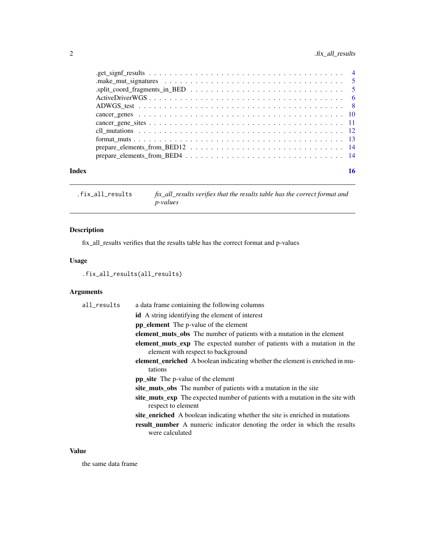## <span id="page-1-0"></span>2 . fix\_all\_results

| Index |                                                                                                                |  |
|-------|----------------------------------------------------------------------------------------------------------------|--|
|       |                                                                                                                |  |
|       |                                                                                                                |  |
|       |                                                                                                                |  |
|       |                                                                                                                |  |
|       |                                                                                                                |  |
|       |                                                                                                                |  |
|       |                                                                                                                |  |
|       |                                                                                                                |  |
|       | .split_coord_fragments_in_BED $\ldots \ldots \ldots \ldots \ldots \ldots \ldots \ldots \ldots \ldots \ldots 5$ |  |
|       |                                                                                                                |  |
|       |                                                                                                                |  |

.fix\_all\_results *fix\_all\_results verifies that the results table has the correct format and p-values*

## Description

fix\_all\_results verifies that the results table has the correct format and p-values

## Usage

.fix\_all\_results(all\_results)

## Arguments

| all_results | a data frame containing the following columns                                                                 |
|-------------|---------------------------------------------------------------------------------------------------------------|
|             | <b>id</b> A string identifying the element of interest                                                        |
|             | <b>pp</b> element The p-value of the element                                                                  |
|             | <b>element_muts_obs</b> The number of patients with a mutation in the element                                 |
|             | element_muts_exp The expected number of patients with a mutation in the<br>element with respect to background |
|             | <b>element_enriched</b> A boolean indicating whether the element is enriched in mu-<br>tations                |
|             | <b>pp_site</b> The p-value of the element                                                                     |
|             | site_muts_obs The number of patients with a mutation in the site                                              |
|             | site_muts_exp The expected number of patients with a mutation in the site with<br>respect to element          |
|             | site_enriched A boolean indicating whether the site is enriched in mutations                                  |
|             | <b>result_number</b> A numeric indicator denoting the order in which the results<br>were calculated           |

## Value

the same data frame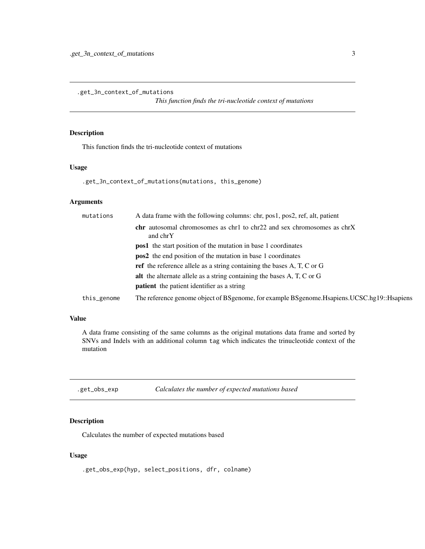<span id="page-2-0"></span>.get\_3n\_context\_of\_mutations

*This function finds the tri-nucleotide context of mutations*

## Description

This function finds the tri-nucleotide context of mutations

#### Usage

.get\_3n\_context\_of\_mutations(mutations, this\_genome)

## Arguments

| mutations   | A data frame with the following columns: chr, pos1, pos2, ref, alt, patient                   |
|-------------|-----------------------------------------------------------------------------------------------|
|             | <b>chr</b> autosomal chromosomes as chr1 to chr22 and sex chromosomes as chrX<br>and chrY     |
|             | <b>pos1</b> the start position of the mutation in base 1 coordinates                          |
|             | <b>pos2</b> the end position of the mutation in base 1 coordinates                            |
|             | <b>ref</b> the reference allele as a string containing the bases A, T, C or G                 |
|             | alt the alternate allele as a string containing the bases A, T, C or G                        |
|             | <b>patient</b> the patient identifier as a string                                             |
| this_genome | The reference genome object of BSgenome, for example BSgenome. Hsapiens. UCSC.hg19:: Hsapiens |
|             |                                                                                               |

#### Value

A data frame consisting of the same columns as the original mutations data frame and sorted by SNVs and Indels with an additional column tag which indicates the trinucleotide context of the mutation

.get\_obs\_exp *Calculates the number of expected mutations based*

## Description

Calculates the number of expected mutations based

#### Usage

.get\_obs\_exp(hyp, select\_positions, dfr, colname)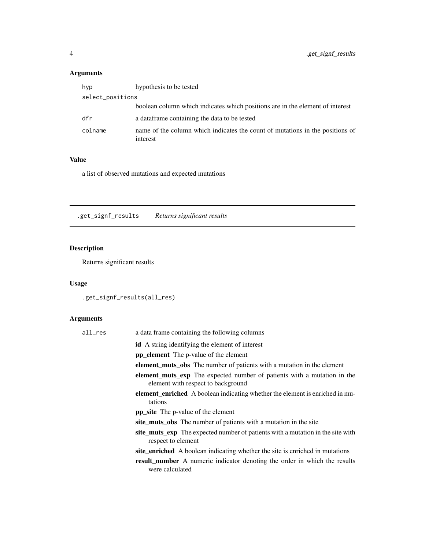## <span id="page-3-0"></span>Arguments

| hyp              | hypothesis to be tested                                                                   |
|------------------|-------------------------------------------------------------------------------------------|
| select_positions |                                                                                           |
|                  | boolean column which indicates which positions are in the element of interest             |
| dfr              | a data frame containing the data to be tested                                             |
| colname          | name of the column which indicates the count of mutations in the positions of<br>interest |

## Value

a list of observed mutations and expected mutations

.get\_signf\_results *Returns significant results*

## Description

Returns significant results

## Usage

.get\_signf\_results(all\_res)

## Arguments

| all_res | a data frame containing the following columns                                                                        |
|---------|----------------------------------------------------------------------------------------------------------------------|
|         | <b>id</b> A string identifying the element of interest                                                               |
|         | <b>pp element</b> The p-value of the element                                                                         |
|         | <b>element_muts_obs</b> The number of patients with a mutation in the element                                        |
|         | <b>element_muts_exp</b> The expected number of patients with a mutation in the<br>element with respect to background |
|         | <b>element_enriched</b> A boolean indicating whether the element is enriched in mu-<br>tations                       |
|         | <b>pp_site</b> The p-value of the element                                                                            |
|         | site_muts_obs The number of patients with a mutation in the site                                                     |
|         | site_muts_exp The expected number of patients with a mutation in the site with<br>respect to element                 |
|         | site_enriched A boolean indicating whether the site is enriched in mutations                                         |
|         | <b>result number</b> A numeric indicator denoting the order in which the results<br>were calculated                  |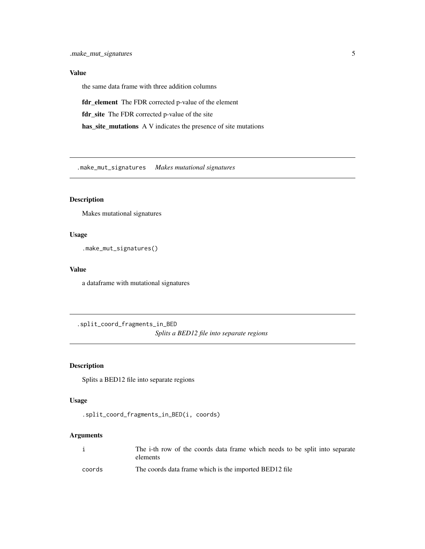<span id="page-4-0"></span>the same data frame with three addition columns

fdr\_element The FDR corrected p-value of the element

fdr\_site The FDR corrected p-value of the site

has\_site\_mutations A V indicates the presence of site mutations

.make\_mut\_signatures *Makes mutational signatures*

## Description

Makes mutational signatures

#### Usage

.make\_mut\_signatures()

## Value

a dataframe with mutational signatures

.split\_coord\_fragments\_in\_BED *Splits a BED12 file into separate regions*

## Description

Splits a BED12 file into separate regions

## Usage

```
.split_coord_fragments_in_BED(i, coords)
```
## Arguments

|        | The i-th row of the coords data frame which needs to be split into separate |
|--------|-----------------------------------------------------------------------------|
|        | elements                                                                    |
| coords | The coords data frame which is the imported BED12 file                      |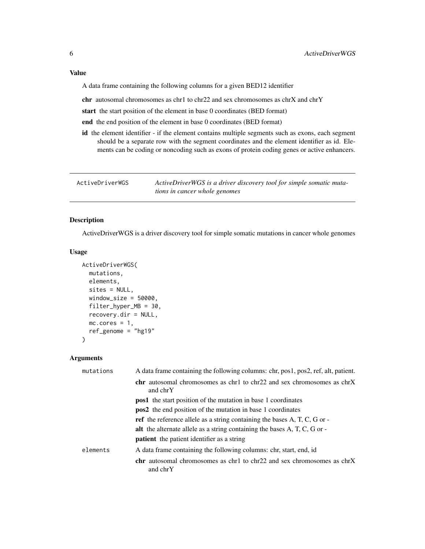<span id="page-5-0"></span>A data frame containing the following columns for a given BED12 identifier

chr autosomal chromosomes as chr1 to chr22 and sex chromosomes as chrX and chrY

start the start position of the element in base 0 coordinates (BED format)

end the end position of the element in base 0 coordinates (BED format)

id the element identifier - if the element contains multiple segments such as exons, each segment should be a separate row with the segment coordinates and the element identifier as id. Elements can be coding or noncoding such as exons of protein coding genes or active enhancers.

ActiveDriverWGS *ActiveDriverWGS is a driver discovery tool for simple somatic mutations in cancer whole genomes*

#### Description

ActiveDriverWGS is a driver discovery tool for simple somatic mutations in cancer whole genomes

#### Usage

```
ActiveDriverWGS(
  mutations,
  elements,
  sites = NULL,
  window\_size = 50000,filter_hyper_MB = 30,
  recovery.dir = NULL,
  mc.core = 1,
  ref_genome = "hg19"
\mathcal{L}
```
## Arguments

| mutations | A data frame containing the following columns: chr, pos1, pos2, ref, alt, patient.                       |
|-----------|----------------------------------------------------------------------------------------------------------|
|           | <b>chr</b> autosomal chromosomes as $chr1$ to $chr22$ and sex chromosomes as $chrX$<br>and chrY          |
|           | <b>pos1</b> the start position of the mutation in base 1 coordinates                                     |
|           | <b>pos2</b> the end position of the mutation in base 1 coordinates                                       |
|           | <b>ref</b> the reference allele as a string containing the bases $A$ , $T$ , $C$ , $G$ or $-\frac{1}{2}$ |
|           | alt the alternate allele as a string containing the bases A, T, C, G or -                                |
|           | <b>patient</b> the patient identifier as a string                                                        |
| elements  | A data frame containing the following columns: chr, start, end, id.                                      |
|           | <b>chr</b> autosomal chromosomes as chr1 to chr22 and sex chromosomes as chrX<br>and chrY                |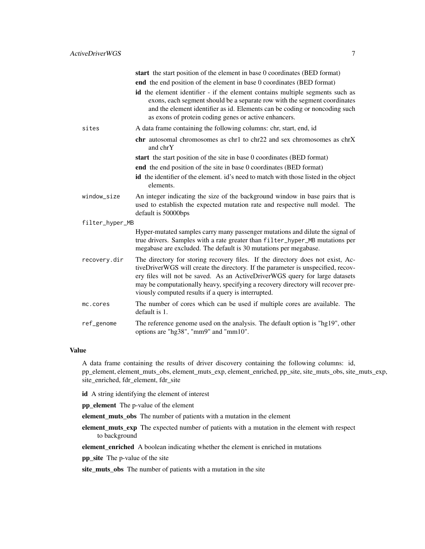|                 | start the start position of the element in base 0 coordinates (BED format)                                                                                                                                                                                                                                                                                                                  |
|-----------------|---------------------------------------------------------------------------------------------------------------------------------------------------------------------------------------------------------------------------------------------------------------------------------------------------------------------------------------------------------------------------------------------|
|                 | end the end position of the element in base 0 coordinates (BED format)                                                                                                                                                                                                                                                                                                                      |
|                 | id the element identifier - if the element contains multiple segments such as<br>exons, each segment should be a separate row with the segment coordinates<br>and the element identifier as id. Elements can be coding or noncoding such<br>as exons of protein coding genes or active enhancers.                                                                                           |
| sites           | A data frame containing the following columns: chr, start, end, id                                                                                                                                                                                                                                                                                                                          |
|                 | <b>chr</b> autosomal chromosomes as $chr1$ to $chr22$ and sex chromosomes as $chrX$<br>and chrY                                                                                                                                                                                                                                                                                             |
|                 | start the start position of the site in base 0 coordinates (BED format)                                                                                                                                                                                                                                                                                                                     |
|                 | end the end position of the site in base 0 coordinates (BED format)                                                                                                                                                                                                                                                                                                                         |
|                 | id the identifier of the element. id's need to match with those listed in the object<br>elements.                                                                                                                                                                                                                                                                                           |
| window_size     | An integer indicating the size of the background window in base pairs that is<br>used to establish the expected mutation rate and respective null model. The<br>default is 50000bps                                                                                                                                                                                                         |
| filter_hyper_MB |                                                                                                                                                                                                                                                                                                                                                                                             |
|                 | Hyper-mutated samples carry many passenger mutations and dilute the signal of<br>true drivers. Samples with a rate greater than filter_hyper_MB mutations per<br>megabase are excluded. The default is 30 mutations per megabase.                                                                                                                                                           |
| recovery.dir    | The directory for storing recovery files. If the directory does not exist, Ac-<br>tiveDriverWGS will create the directory. If the parameter is unspecified, recov-<br>ery files will not be saved. As an ActiveDriverWGS query for large datasets<br>may be computationally heavy, specifying a recovery directory will recover pre-<br>viously computed results if a query is interrupted. |
| mc.cores        | The number of cores which can be used if multiple cores are available. The<br>default is 1.                                                                                                                                                                                                                                                                                                 |
| ref_genome      | The reference genome used on the analysis. The default option is "hg19", other<br>options are "hg38", "mm9" and "mm10".                                                                                                                                                                                                                                                                     |
|                 |                                                                                                                                                                                                                                                                                                                                                                                             |

A data frame containing the results of driver discovery containing the following columns: id, pp\_element, element\_muts\_obs, element\_muts\_exp, element\_enriched, pp\_site, site\_muts\_obs, site\_muts\_exp, site\_enriched, fdr\_element, fdr\_site

id A string identifying the element of interest

pp\_element The p-value of the element

element\_muts\_obs The number of patients with a mutation in the element

element\_muts\_exp The expected number of patients with a mutation in the element with respect to background

element\_enriched A boolean indicating whether the element is enriched in mutations

pp\_site The p-value of the site

site\_muts\_obs The number of patients with a mutation in the site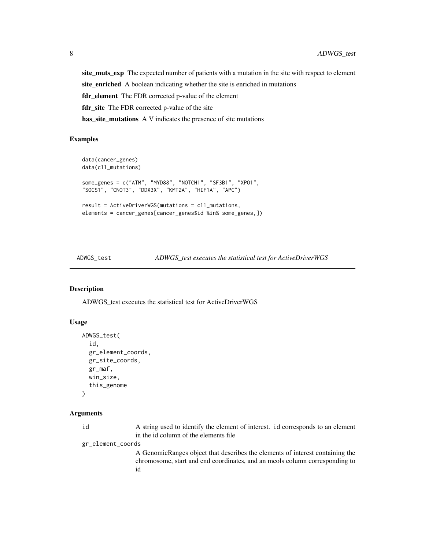<span id="page-7-0"></span>site\_muts\_exp The expected number of patients with a mutation in the site with respect to element site\_enriched A boolean indicating whether the site is enriched in mutations fdr\_element The FDR corrected p-value of the element fdr\_site The FDR corrected p-value of the site has\_site\_mutations A V indicates the presence of site mutations

#### Examples

```
data(cancer_genes)
data(cll_mutations)
some_genes = c("ATM", "MYD88", "NOTCH1", "SF3B1", "XPO1",
"SOCS1", "CNOT3", "DDX3X", "KMT2A", "HIF1A", "APC")
result = ActiveDriverWGS(mutations = cll_mutations,
elements = cancer_genes[cancer_genes$id %in% some_genes,])
```
ADWGS\_test *ADWGS\_test executes the statistical test for ActiveDriverWGS*

#### Description

ADWGS\_test executes the statistical test for ActiveDriverWGS

#### Usage

```
ADWGS_test(
  id,
  gr_element_coords,
  gr_site_coords,
  gr_maf,
  win_size,
  this_genome
\lambda
```
#### Arguments

| id                | A string used to identify the element of interest. id corresponds to an element |  |
|-------------------|---------------------------------------------------------------------------------|--|
|                   | in the id column of the elements file                                           |  |
| gr_element_coords |                                                                                 |  |
|                   | A Genomic Ranges object that describes the elements of interest containing the  |  |
|                   | chromosome, start and end coordinates, and an mools column corresponding to     |  |

id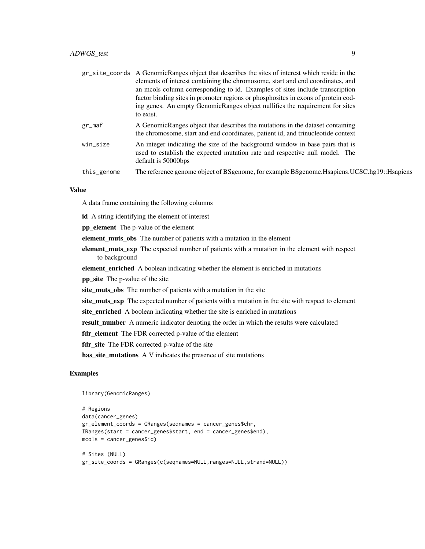|             | gr_site_coords A GenomicRanges object that describes the sites of interest which reside in the<br>elements of interest containing the chromosome, start and end coordinates, and<br>an mools column corresponding to id. Examples of sites include transcription<br>factor binding sites in promoter regions or phosphosites in exons of protein cod-<br>ing genes. An empty GenomicRanges object nullifies the requirement for sites |
|-------------|---------------------------------------------------------------------------------------------------------------------------------------------------------------------------------------------------------------------------------------------------------------------------------------------------------------------------------------------------------------------------------------------------------------------------------------|
|             | to exist.                                                                                                                                                                                                                                                                                                                                                                                                                             |
| gr_maf      | A GenomicRanges object that describes the mutations in the dataset containing<br>the chromosome, start and end coordinates, patient id, and trinucleotide context                                                                                                                                                                                                                                                                     |
| win_size    | An integer indicating the size of the background window in base pairs that is<br>used to establish the expected mutation rate and respective null model. The<br>default is 50000bps                                                                                                                                                                                                                                                   |
| this_genome | The reference genome object of BSgenome, for example BSgenome. Hsapiens. UCSC.hg19:: Hsapiens                                                                                                                                                                                                                                                                                                                                         |

A data frame containing the following columns

id A string identifying the element of interest

pp\_element The p-value of the element

element\_muts\_obs The number of patients with a mutation in the element

element\_muts\_exp The expected number of patients with a mutation in the element with respect to background

element\_enriched A boolean indicating whether the element is enriched in mutations

pp\_site The p-value of the site

site\_muts\_obs The number of patients with a mutation in the site

site\_muts\_exp The expected number of patients with a mutation in the site with respect to element

site\_enriched A boolean indicating whether the site is enriched in mutations

result\_number A numeric indicator denoting the order in which the results were calculated

fdr\_element The FDR corrected p-value of the element

fdr\_site The FDR corrected p-value of the site

has\_site\_mutations A V indicates the presence of site mutations

## Examples

library(GenomicRanges)

```
# Regions
data(cancer_genes)
gr_element_coords = GRanges(seqnames = cancer_genes$chr,
IRanges(start = cancer_genes$start, end = cancer_genes$end),
mcols = cancer_genes$id)
# Sites (NULL)
gr_site_coords = GRanges(c(seqnames=NULL,ranges=NULL,strand=NULL))
```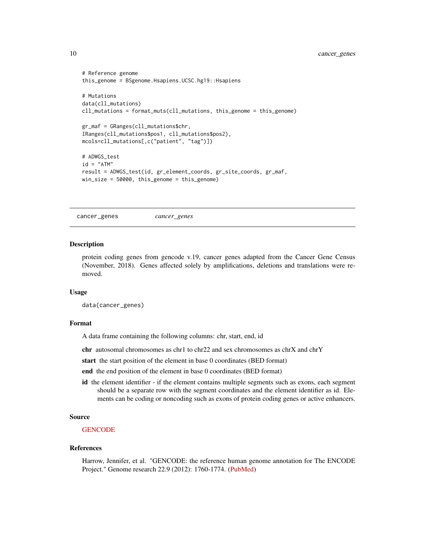```
# Reference genome
this_genome = BSgenome.Hsapiens.UCSC.hg19::Hsapiens
# Mutations
data(cll_mutations)
cll_mutations = format_muts(cll_mutations, this_genome = this_genome)
gr_maf = GRanges(cll_mutations$chr,
IRanges(cll_mutations$pos1, cll_mutations$pos2),
mcols=cll_mutations[,c("patient", "tag")])
# ADWGS_test
id = "ATM"result = ADWGS_test(id, gr_element_coords, gr_site_coords, gr_maf,
win_size = 50000, this_genome = this_genome)
```
cancer\_genes *cancer\_genes*

#### **Description**

protein coding genes from gencode v.19, cancer genes adapted from the Cancer Gene Census (November, 2018). Genes affected solely by amplifications, deletions and translations were removed.

#### Usage

data(cancer\_genes)

#### Format

A data frame containing the following columns: chr, start, end, id

chr autosomal chromosomes as chr1 to chr22 and sex chromosomes as chrX and chrY

start the start position of the element in base 0 coordinates (BED format)

end the end position of the element in base 0 coordinates (BED format)

id the element identifier - if the element contains multiple segments such as exons, each segment should be a separate row with the segment coordinates and the element identifier as id. Elements can be coding or noncoding such as exons of protein coding genes or active enhancers.

#### Source

#### **[GENCODE](https://www.gencodegenes.org/human/release_19.html)**

#### References

Harrow, Jennifer, et al. "GENCODE: the reference human genome annotation for The ENCODE Project." Genome research 22.9 (2012): 1760-1774. [\(PubMed\)](https://pubmed.ncbi.nlm.nih.gov/22955987/)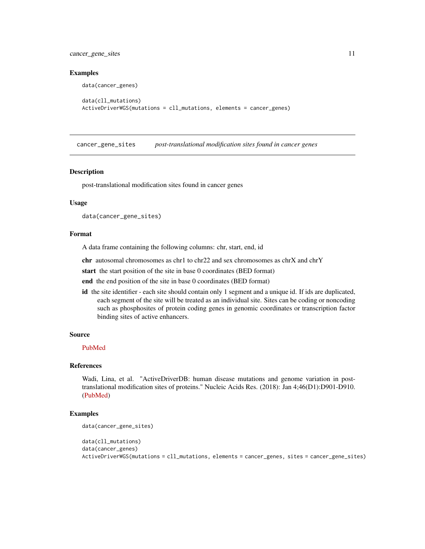<span id="page-10-0"></span>cancer\_gene\_sites 11

#### Examples

```
data(cancer_genes)
```

```
data(cll_mutations)
ActiveDriverWGS(mutations = cll_mutations, elements = cancer_genes)
```
cancer\_gene\_sites *post-translational modification sites found in cancer genes*

#### Description

post-translational modification sites found in cancer genes

#### Usage

```
data(cancer_gene_sites)
```
#### Format

A data frame containing the following columns: chr, start, end, id

chr autosomal chromosomes as chr1 to chr22 and sex chromosomes as chrX and chrY

start the start position of the site in base 0 coordinates (BED format)

end the end position of the site in base 0 coordinates (BED format)

id the site identifier - each site should contain only 1 segment and a unique id. If ids are duplicated, each segment of the site will be treated as an individual site. Sites can be coding or noncoding such as phosphosites of protein coding genes in genomic coordinates or transcription factor binding sites of active enhancers.

#### Source

[PubMed](https://pubmed.ncbi.nlm.nih.gov/29126202/)

#### References

Wadi, Lina, et al. "ActiveDriverDB: human disease mutations and genome variation in posttranslational modification sites of proteins." Nucleic Acids Res. (2018): Jan 4;46(D1):D901-D910. [\(PubMed\)](https://pubmed.ncbi.nlm.nih.gov/29126202/)

```
data(cancer_gene_sites)
```

```
data(cll_mutations)
data(cancer_genes)
ActiveDriverWGS(mutations = cll_mutations, elements = cancer_genes, sites = cancer_gene_sites)
```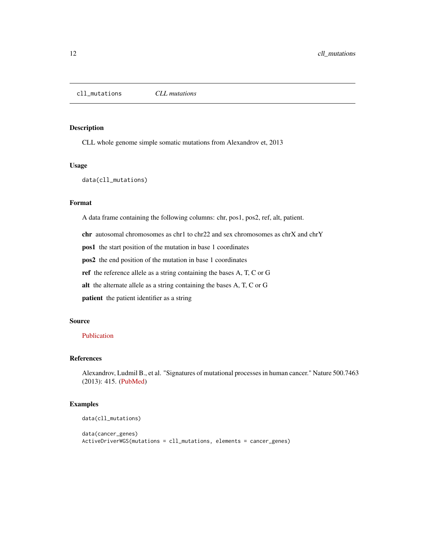#### <span id="page-11-0"></span>Description

CLL whole genome simple somatic mutations from Alexandrov et, 2013

#### Usage

```
data(cll_mutations)
```
## Format

A data frame containing the following columns: chr, pos1, pos2, ref, alt, patient.

chr autosomal chromosomes as chr1 to chr22 and sex chromosomes as chrX and chrY

pos1 the start position of the mutation in base 1 coordinates

pos2 the end position of the mutation in base 1 coordinates

ref the reference allele as a string containing the bases A, T, C or G

alt the alternate allele as a string containing the bases A, T, C or G

patient the patient identifier as a string

#### Source

#### [Publication](https://www.nature.com/articles/nature12477)

## References

Alexandrov, Ludmil B., et al. "Signatures of mutational processes in human cancer." Nature 500.7463 (2013): 415. [\(PubMed\)](https://pubmed.ncbi.nlm.nih.gov/23945592/)

```
data(cll_mutations)
```

```
data(cancer_genes)
ActiveDriverWGS(mutations = cll_mutations, elements = cancer_genes)
```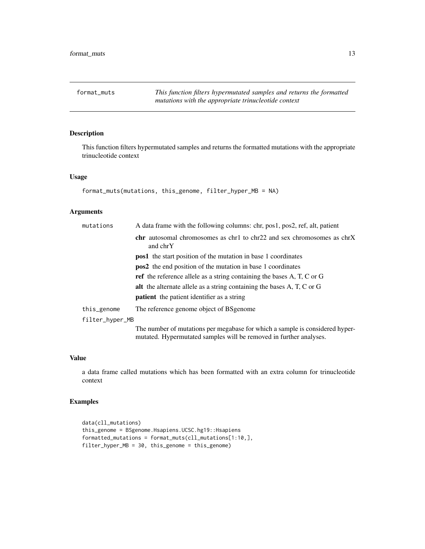<span id="page-12-0"></span>

## Description

This function filters hypermutated samples and returns the formatted mutations with the appropriate trinucleotide context

#### Usage

```
format_muts(mutations, this_genome, filter_hyper_MB = NA)
```
#### Arguments

| mutations       | A data frame with the following columns: chr, pos1, pos2, ref, alt, patient                                                                        |
|-----------------|----------------------------------------------------------------------------------------------------------------------------------------------------|
|                 | <b>chr</b> autosomal chromosomes as chr1 to chr22 and sex chromosomes as chrX<br>and chrY                                                          |
|                 | <b>pos1</b> the start position of the mutation in base 1 coordinates                                                                               |
|                 | <b>pos2</b> the end position of the mutation in base 1 coordinates                                                                                 |
|                 | <b>ref</b> the reference allele as a string containing the bases A, T, C or G                                                                      |
|                 | alt the alternate allele as a string containing the bases A, T, C or G                                                                             |
|                 | <b>patient</b> the patient identifier as a string                                                                                                  |
| this_genome     | The reference genome object of BS genome                                                                                                           |
| filter_hyper_MB |                                                                                                                                                    |
|                 | The number of mutations per megabase for which a sample is considered hyper-<br>mutated. Hypermutated samples will be removed in further analyses. |

#### Value

a data frame called mutations which has been formatted with an extra column for trinucleotide context

```
data(cll_mutations)
this_genome = BSgenome.Hsapiens.UCSC.hg19::Hsapiens
formatted_mutations = format_muts(cll_mutations[1:10,],
filter_hyper_MB = 30, this_genome = this_genome)
```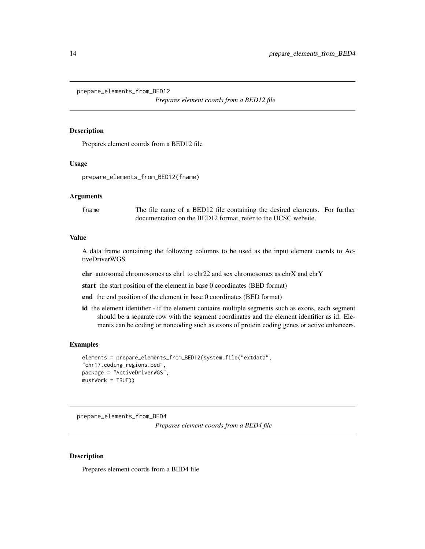<span id="page-13-0"></span>prepare\_elements\_from\_BED12

*Prepares element coords from a BED12 file*

#### Description

Prepares element coords from a BED12 file

#### Usage

```
prepare_elements_from_BED12(fname)
```
#### Arguments

fname The file name of a BED12 file containing the desired elements. For further documentation on the BED12 format, refer to the UCSC website.

#### Value

A data frame containing the following columns to be used as the input element coords to ActiveDriverWGS

chr autosomal chromosomes as chr1 to chr22 and sex chromosomes as chrX and chrY

start the start position of the element in base 0 coordinates (BED format)

end the end position of the element in base 0 coordinates (BED format)

id the element identifier - if the element contains multiple segments such as exons, each segment should be a separate row with the segment coordinates and the element identifier as id. Elements can be coding or noncoding such as exons of protein coding genes or active enhancers.

#### Examples

```
elements = prepare_elements_from_BED12(system.file("extdata",
"chr17.coding_regions.bed",
package = "ActiveDriverWGS",
mustWork = TRUE))
```
prepare\_elements\_from\_BED4

*Prepares element coords from a BED4 file*

#### Description

Prepares element coords from a BED4 file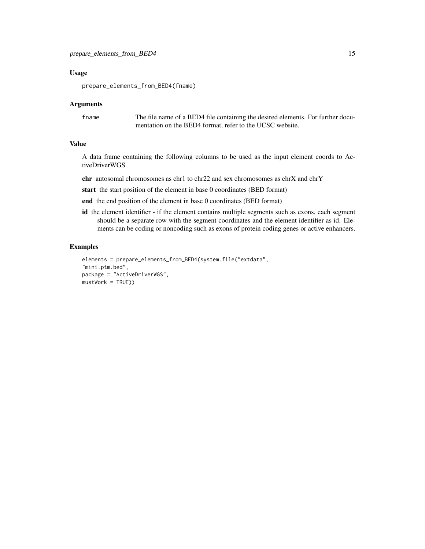#### Usage

prepare\_elements\_from\_BED4(fname)

#### Arguments

fname The file name of a BED4 file containing the desired elements. For further documentation on the BED4 format, refer to the UCSC website.

### Value

A data frame containing the following columns to be used as the input element coords to ActiveDriverWGS

chr autosomal chromosomes as chr1 to chr22 and sex chromosomes as chrX and chrY

start the start position of the element in base 0 coordinates (BED format)

end the end position of the element in base 0 coordinates (BED format)

id the element identifier - if the element contains multiple segments such as exons, each segment should be a separate row with the segment coordinates and the element identifier as id. Elements can be coding or noncoding such as exons of protein coding genes or active enhancers.

```
elements = prepare_elements_from_BED4(system.file("extdata",
"mini.ptm.bed",
package = "ActiveDriverWGS",
mustWork = TRUE))
```